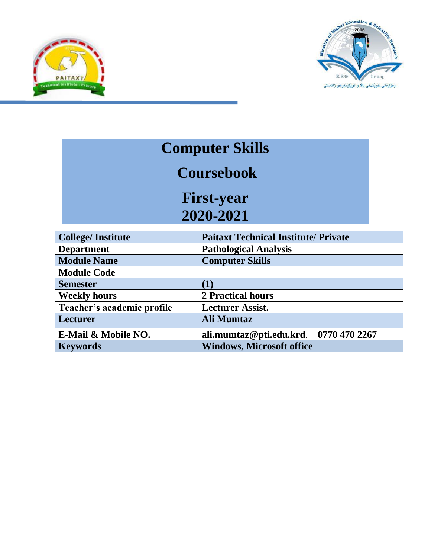



## **Computer Skills**

## **Coursebook**

**First-year 2020-2021**

| <b>College/Institute</b>   | <b>Paitaxt Technical Institute/ Private</b> |  |
|----------------------------|---------------------------------------------|--|
| <b>Department</b>          | <b>Pathological Analysis</b>                |  |
| <b>Module Name</b>         | <b>Computer Skills</b>                      |  |
| <b>Module Code</b>         |                                             |  |
| <b>Semester</b>            | (1)                                         |  |
| <b>Weekly hours</b>        | 2 Practical hours                           |  |
| Teacher's academic profile | <b>Lecturer Assist.</b>                     |  |
| Lecturer                   | <b>Ali Mumtaz</b>                           |  |
| E-Mail & Mobile NO.        | ali.mumtaz@pti.edu.krd, 0770 470 2267       |  |
| <b>Keywords</b>            | <b>Windows, Microsoft office</b>            |  |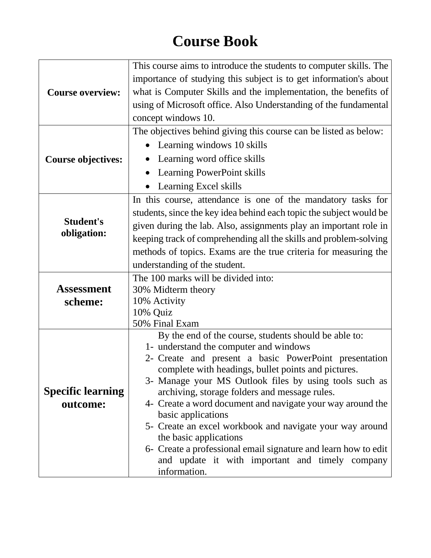## **Course Book**

|                           | This course aims to introduce the students to computer skills. The                              |  |
|---------------------------|-------------------------------------------------------------------------------------------------|--|
|                           | importance of studying this subject is to get information's about                               |  |
| <b>Course overview:</b>   | what is Computer Skills and the implementation, the benefits of                                 |  |
|                           | using of Microsoft office. Also Understanding of the fundamental                                |  |
|                           | concept windows 10.                                                                             |  |
|                           | The objectives behind giving this course can be listed as below:                                |  |
|                           | Learning windows 10 skills                                                                      |  |
| <b>Course objectives:</b> | Learning word office skills                                                                     |  |
|                           | Learning PowerPoint skills                                                                      |  |
|                           | Learning Excel skills                                                                           |  |
|                           | In this course, attendance is one of the mandatory tasks for                                    |  |
|                           | students, since the key idea behind each topic the subject would be                             |  |
| <b>Student's</b>          | given during the lab. Also, assignments play an important role in                               |  |
|                           | obligation:<br>keeping track of comprehending all the skills and problem-solving                |  |
|                           | methods of topics. Exams are the true criteria for measuring the                                |  |
|                           | understanding of the student.                                                                   |  |
|                           | The 100 marks will be divided into:                                                             |  |
| Assessment                | 30% Midterm theory                                                                              |  |
| scheme:                   | 10% Activity                                                                                    |  |
|                           | 10% Quiz                                                                                        |  |
|                           | 50% Final Exam                                                                                  |  |
|                           | By the end of the course, students should be able to:                                           |  |
|                           | 1- understand the computer and windows<br>2- Create and present a basic PowerPoint presentation |  |
|                           | complete with headings, bullet points and pictures.                                             |  |
|                           | 3- Manage your MS Outlook files by using tools such as                                          |  |
| <b>Specific learning</b>  | archiving, storage folders and message rules.                                                   |  |
| outcome:                  | 4- Create a word document and navigate your way around the                                      |  |
|                           | basic applications                                                                              |  |
|                           | 5- Create an excel workbook and navigate your way around                                        |  |
|                           | the basic applications<br>6- Create a professional email signature and learn how to edit        |  |
|                           | and update it with important and timely company                                                 |  |
|                           | information.                                                                                    |  |